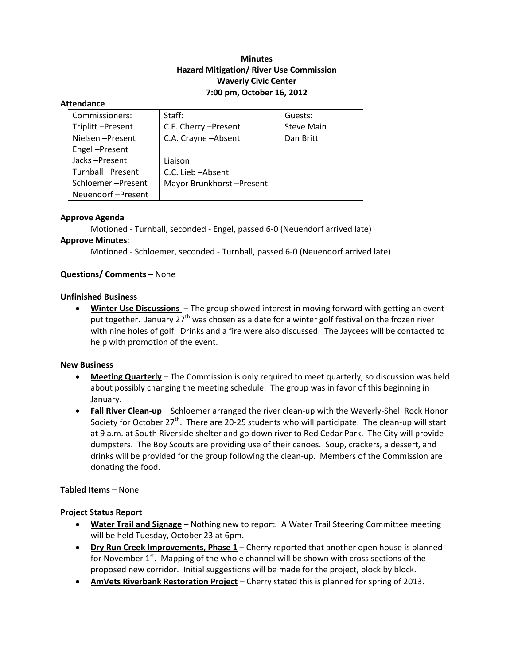# **Minutes Hazard Mitigation/ River Use Commission Waverly Civic Center 7:00 pm, October 16, 2012**

#### **Attendance**

| Commissioners:    | Staff:                   | Guests:           |
|-------------------|--------------------------|-------------------|
| Triplitt-Present  | C.E. Cherry - Present    | <b>Steve Main</b> |
| Nielsen-Present   | C.A. Crayne - Absent     | Dan Britt         |
| Engel-Present     |                          |                   |
| Jacks-Present     | Liaison:                 |                   |
| Turnball-Present  | C.C. Lieb - Absent       |                   |
| Schloemer-Present | Mayor Brunkhorst-Present |                   |
| Neuendorf-Present |                          |                   |

#### **Approve Agenda**

Motioned ‐ Turnball, seconded ‐ Engel, passed 6‐0 (Neuendorf arrived late) **Approve Minutes**:

Motioned ‐ Schloemer, seconded ‐ Turnball, passed 6‐0 (Neuendorf arrived late)

#### **Questions/ Comments** – None

#### **Unfinished Business**

 **Winter Use Discussions** – The group showed interest in moving forward with getting an event put together. January  $27<sup>th</sup>$  was chosen as a date for a winter golf festival on the frozen river with nine holes of golf. Drinks and a fire were also discussed. The Jaycees will be contacted to help with promotion of the event.

#### **New Business**

- **Meeting Quarterly** The Commission is only required to meet quarterly, so discussion was held about possibly changing the meeting schedule. The group was in favor of this beginning in January.
- **Fall River Clean-up** Schloemer arranged the river clean-up with the Waverly-Shell Rock Honor Society for October  $27<sup>th</sup>$ . There are 20-25 students who will participate. The clean-up will start at 9 a.m. at South Riverside shelter and go down river to Red Cedar Park. The City will provide dumpsters. The Boy Scouts are providing use of their canoes. Soup, crackers, a dessert, and drinks will be provided for the group following the clean‐up. Members of the Commission are donating the food.

#### **Tabled Items** – None

#### **Project Status Report**

- **Water Trail and Signage** Nothing new to report. A Water Trail Steering Committee meeting will be held Tuesday, October 23 at 6pm.
- **Dry Run Creek Improvements, Phase 1** Cherry reported that another open house is planned for November  $1<sup>st</sup>$ . Mapping of the whole channel will be shown with cross sections of the proposed new corridor. Initial suggestions will be made for the project, block by block.
- **AmVets Riverbank Restoration Project** Cherry stated this is planned for spring of 2013.